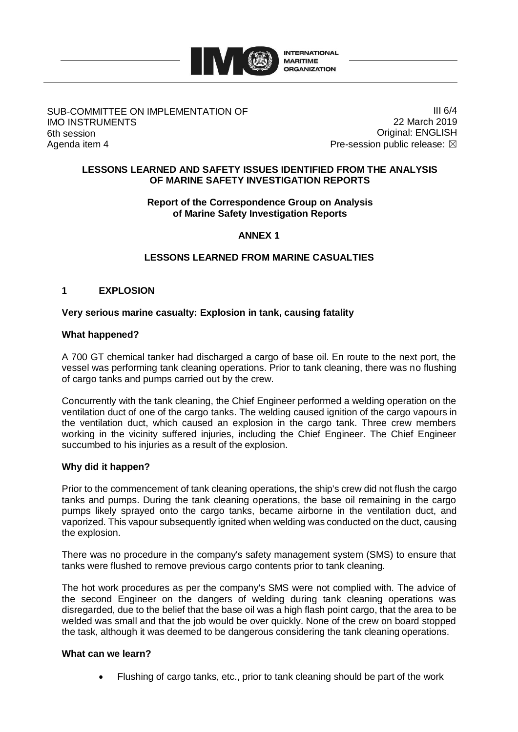

### SUB-COMMITTEE ON IMPLEMENTATION OF IMO INSTRUMENTS 6th session Agenda item 4

III 6/4 22 March 2019 Original: ENGLISH Pre-session public release:  $\boxtimes$ 

### **LESSONS LEARNED AND SAFETY ISSUES IDENTIFIED FROM THE ANALYSIS OF MARINE SAFETY INVESTIGATION REPORTS**

### **Report of the Correspondence Group on Analysis of Marine Safety Investigation Reports**

## **ANNEX 1**

# **LESSONS LEARNED FROM MARINE CASUALTIES**

# **1 EXPLOSION**

### **Very serious marine casualty: Explosion in tank, causing fatality**

### **What happened?**

A 700 GT chemical tanker had discharged a cargo of base oil. En route to the next port, the vessel was performing tank cleaning operations. Prior to tank cleaning, there was no flushing of cargo tanks and pumps carried out by the crew.

Concurrently with the tank cleaning, the Chief Engineer performed a welding operation on the ventilation duct of one of the cargo tanks. The welding caused ignition of the cargo vapours in the ventilation duct, which caused an explosion in the cargo tank. Three crew members working in the vicinity suffered injuries, including the Chief Engineer. The Chief Engineer succumbed to his injuries as a result of the explosion.

#### **Why did it happen?**

Prior to the commencement of tank cleaning operations, the ship's crew did not flush the cargo tanks and pumps. During the tank cleaning operations, the base oil remaining in the cargo pumps likely sprayed onto the cargo tanks, became airborne in the ventilation duct, and vaporized. This vapour subsequently ignited when welding was conducted on the duct, causing the explosion.

There was no procedure in the company's safety management system (SMS) to ensure that tanks were flushed to remove previous cargo contents prior to tank cleaning.

The hot work procedures as per the company's SMS were not complied with. The advice of the second Engineer on the dangers of welding during tank cleaning operations was disregarded, due to the belief that the base oil was a high flash point cargo, that the area to be welded was small and that the job would be over quickly. None of the crew on board stopped the task, although it was deemed to be dangerous considering the tank cleaning operations.

### **What can we learn?**

Flushing of cargo tanks, etc., prior to tank cleaning should be part of the work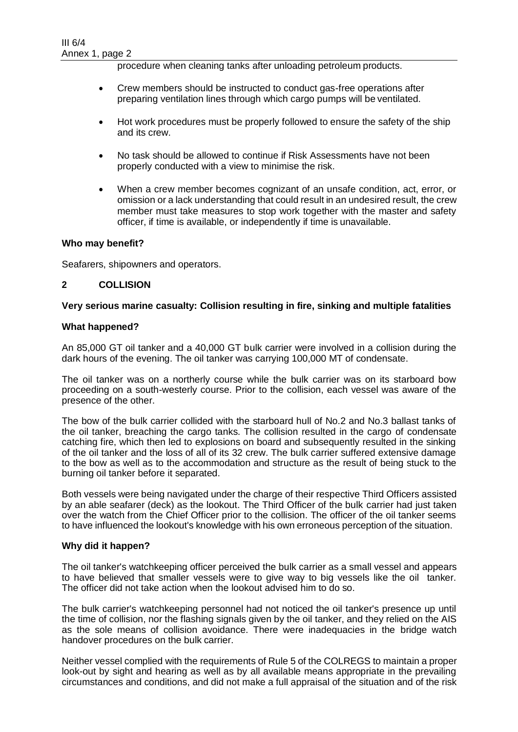procedure when cleaning tanks after unloading petroleum products.

- Crew members should be instructed to conduct gas-free operations after preparing ventilation lines through which cargo pumps will be ventilated.
- Hot work procedures must be properly followed to ensure the safety of the ship and its crew.
- No task should be allowed to continue if Risk Assessments have not been properly conducted with a view to minimise the risk.
- When a crew member becomes cognizant of an unsafe condition, act, error, or omission or a lack understanding that could result in an undesired result, the crew member must take measures to stop work together with the master and safety officer, if time is available, or independently if time is unavailable.

### **Who may benefit?**

Seafarers, shipowners and operators.

### **2 COLLISION**

### **Very serious marine casualty: Collision resulting in fire, sinking and multiple fatalities**

#### **What happened?**

An 85,000 GT oil tanker and a 40,000 GT bulk carrier were involved in a collision during the dark hours of the evening. The oil tanker was carrying 100,000 MT of condensate.

The oil tanker was on a northerly course while the bulk carrier was on its starboard bow proceeding on a south-westerly course. Prior to the collision, each vessel was aware of the presence of the other.

The bow of the bulk carrier collided with the starboard hull of No.2 and No.3 ballast tanks of the oil tanker, breaching the cargo tanks. The collision resulted in the cargo of condensate catching fire, which then led to explosions on board and subsequently resulted in the sinking of the oil tanker and the loss of all of its 32 crew. The bulk carrier suffered extensive damage to the bow as well as to the accommodation and structure as the result of being stuck to the burning oil tanker before it separated.

Both vessels were being navigated under the charge of their respective Third Officers assisted by an able seafarer (deck) as the lookout. The Third Officer of the bulk carrier had just taken over the watch from the Chief Officer prior to the collision. The officer of the oil tanker seems to have influenced the lookout's knowledge with his own erroneous perception of the situation.

#### **Why did it happen?**

The oil tanker's watchkeeping officer perceived the bulk carrier as a small vessel and appears to have believed that smaller vessels were to give way to big vessels like the oil tanker. The officer did not take action when the lookout advised him to do so.

The bulk carrier's watchkeeping personnel had not noticed the oil tanker's presence up until the time of collision, nor the flashing signals given by the oil tanker, and they relied on the AIS as the sole means of collision avoidance. There were inadequacies in the bridge watch handover procedures on the bulk carrier.

Neither vessel complied with the requirements of Rule 5 of the COLREGS to maintain a proper look-out by sight and hearing as well as by all available means appropriate in the prevailing circumstances and conditions, and did not make a full appraisal of the situation and of the risk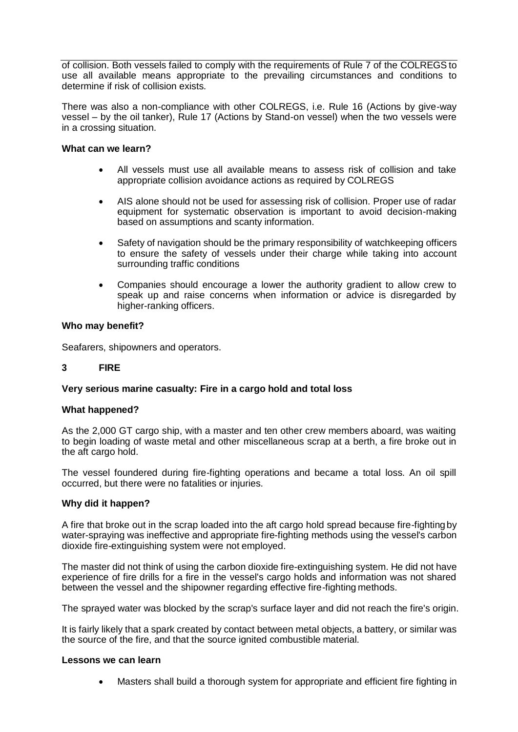of collision. Both vessels failed to comply with the requirements of Rule 7 of the COLREGS to use all available means appropriate to the prevailing circumstances and conditions to determine if risk of collision exists.

There was also a non-compliance with other COLREGS, i.e. Rule 16 (Actions by give-way vessel – by the oil tanker), Rule 17 (Actions by Stand-on vessel) when the two vessels were in a crossing situation.

#### **What can we learn?**

- All vessels must use all available means to assess risk of collision and take appropriate collision avoidance actions as required by COLREGS
- AIS alone should not be used for assessing risk of collision. Proper use of radar equipment for systematic observation is important to avoid decision-making based on assumptions and scanty information.
- Safety of navigation should be the primary responsibility of watchkeeping officers to ensure the safety of vessels under their charge while taking into account surrounding traffic conditions
- Companies should encourage a lower the authority gradient to allow crew to speak up and raise concerns when information or advice is disregarded by higher-ranking officers.

### **Who may benefit?**

Seafarers, shipowners and operators.

### **3 FIRE**

### **Very serious marine casualty: Fire in a cargo hold and total loss**

#### **What happened?**

As the 2,000 GT cargo ship, with a master and ten other crew members aboard, was waiting to begin loading of waste metal and other miscellaneous scrap at a berth, a fire broke out in the aft cargo hold.

The vessel foundered during fire-fighting operations and became a total loss. An oil spill occurred, but there were no fatalities or injuries.

#### **Why did it happen?**

A fire that broke out in the scrap loaded into the aft cargo hold spread because fire-fighting by water-spraying was ineffective and appropriate fire-fighting methods using the vessel's carbon dioxide fire-extinguishing system were not employed.

The master did not think of using the carbon dioxide fire-extinguishing system. He did not have experience of fire drills for a fire in the vessel's cargo holds and information was not shared between the vessel and the shipowner regarding effective fire-fighting methods.

The sprayed water was blocked by the scrap's surface layer and did not reach the fire's origin.

It is fairly likely that a spark created by contact between metal objects, a battery, or similar was the source of the fire, and that the source ignited combustible material.

#### **Lessons we can learn**

Masters shall build a thorough system for appropriate and efficient fire fighting in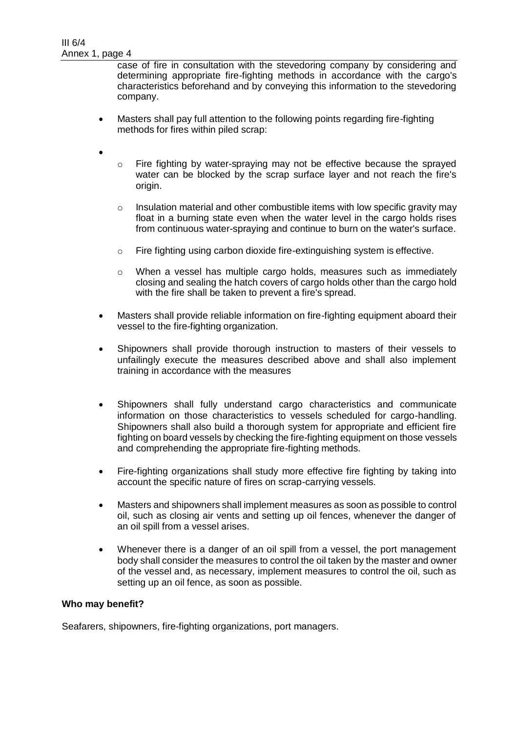case of fire in consultation with the stevedoring company by considering and determining appropriate fire-fighting methods in accordance with the cargo's characteristics beforehand and by conveying this information to the stevedoring company.

- Masters shall pay full attention to the following points regarding fire-fighting methods for fires within piled scrap:
- $\bullet$
- $\circ$  Fire fighting by water-spraying may not be effective because the sprayed water can be blocked by the scrap surface layer and not reach the fire's origin.
- $\circ$  Insulation material and other combustible items with low specific gravity may float in a burning state even when the water level in the cargo holds rises from continuous water-spraying and continue to burn on the water's surface.
- o Fire fighting using carbon dioxide fire-extinguishing system is effective.
- $\circ$  When a vessel has multiple cargo holds, measures such as immediately closing and sealing the hatch covers of cargo holds other than the cargo hold with the fire shall be taken to prevent a fire's spread.
- Masters shall provide reliable information on fire-fighting equipment aboard their vessel to the fire-fighting organization.
- Shipowners shall provide thorough instruction to masters of their vessels to unfailingly execute the measures described above and shall also implement training in accordance with the measures
- Shipowners shall fully understand cargo characteristics and communicate information on those characteristics to vessels scheduled for cargo-handling. Shipowners shall also build a thorough system for appropriate and efficient fire fighting on board vessels by checking the fire-fighting equipment on those vessels and comprehending the appropriate fire-fighting methods.
- Fire-fighting organizations shall study more effective fire fighting by taking into account the specific nature of fires on scrap-carrying vessels.
- Masters and shipowners shall implement measures as soon as possible to control oil, such as closing air vents and setting up oil fences, whenever the danger of an oil spill from a vessel arises.
- Whenever there is a danger of an oil spill from a vessel, the port management body shall consider the measures to control the oil taken by the master and owner of the vessel and, as necessary, implement measures to control the oil, such as setting up an oil fence, as soon as possible.

#### **Who may benefit?**

Seafarers, shipowners, fire-fighting organizations, port managers.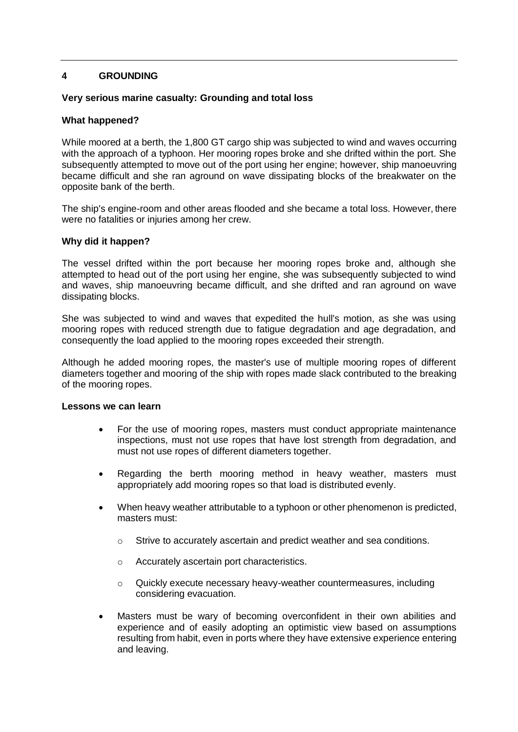## **4 GROUNDING**

### **Very serious marine casualty: Grounding and total loss**

#### **What happened?**

While moored at a berth, the 1,800 GT cargo ship was subjected to wind and waves occurring with the approach of a typhoon. Her mooring ropes broke and she drifted within the port. She subsequently attempted to move out of the port using her engine; however, ship manoeuvring became difficult and she ran aground on wave dissipating blocks of the breakwater on the opposite bank of the berth.

The ship's engine-room and other areas flooded and she became a total loss. However, there were no fatalities or injuries among her crew.

#### **Why did it happen?**

The vessel drifted within the port because her mooring ropes broke and, although she attempted to head out of the port using her engine, she was subsequently subjected to wind and waves, ship manoeuvring became difficult, and she drifted and ran aground on wave dissipating blocks.

She was subjected to wind and waves that expedited the hull's motion, as she was using mooring ropes with reduced strength due to fatigue degradation and age degradation, and consequently the load applied to the mooring ropes exceeded their strength.

Although he added mooring ropes, the master's use of multiple mooring ropes of different diameters together and mooring of the ship with ropes made slack contributed to the breaking of the mooring ropes.

#### **Lessons we can learn**

- For the use of mooring ropes, masters must conduct appropriate maintenance inspections, must not use ropes that have lost strength from degradation, and must not use ropes of different diameters together.
- Regarding the berth mooring method in heavy weather, masters must appropriately add mooring ropes so that load is distributed evenly.
- When heavy weather attributable to a typhoon or other phenomenon is predicted, masters must:
	- o Strive to accurately ascertain and predict weather and sea conditions.
	- o Accurately ascertain port characteristics.
	- $\circ$  Quickly execute necessary heavy-weather countermeasures, including considering evacuation.
- Masters must be wary of becoming overconfident in their own abilities and experience and of easily adopting an optimistic view based on assumptions resulting from habit, even in ports where they have extensive experience entering and leaving.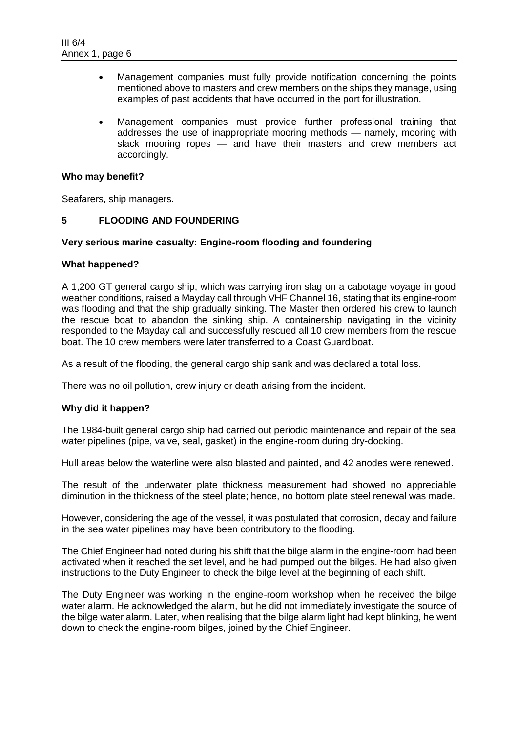- Management companies must fully provide notification concerning the points mentioned above to masters and crew members on the ships they manage, using examples of past accidents that have occurred in the port for illustration.
- Management companies must provide further professional training that addresses the use of inappropriate mooring methods — namely, mooring with slack mooring ropes — and have their masters and crew members act accordingly.

#### **Who may benefit?**

Seafarers, ship managers.

### **5 FLOODING AND FOUNDERING**

### **Very serious marine casualty: Engine-room flooding and foundering**

#### **What happened?**

A 1,200 GT general cargo ship, which was carrying iron slag on a cabotage voyage in good weather conditions, raised a Mayday call through VHF Channel 16, stating that its engine-room was flooding and that the ship gradually sinking. The Master then ordered his crew to launch the rescue boat to abandon the sinking ship. A containership navigating in the vicinity responded to the Mayday call and successfully rescued all 10 crew members from the rescue boat. The 10 crew members were later transferred to a Coast Guard boat.

As a result of the flooding, the general cargo ship sank and was declared a total loss.

There was no oil pollution, crew injury or death arising from the incident.

### **Why did it happen?**

The 1984-built general cargo ship had carried out periodic maintenance and repair of the sea water pipelines (pipe, valve, seal, gasket) in the engine-room during dry-docking.

Hull areas below the waterline were also blasted and painted, and 42 anodes were renewed.

The result of the underwater plate thickness measurement had showed no appreciable diminution in the thickness of the steel plate; hence, no bottom plate steel renewal was made.

However, considering the age of the vessel, it was postulated that corrosion, decay and failure in the sea water pipelines may have been contributory to the flooding.

The Chief Engineer had noted during his shift that the bilge alarm in the engine-room had been activated when it reached the set level, and he had pumped out the bilges. He had also given instructions to the Duty Engineer to check the bilge level at the beginning of each shift.

The Duty Engineer was working in the engine-room workshop when he received the bilge water alarm. He acknowledged the alarm, but he did not immediately investigate the source of the bilge water alarm. Later, when realising that the bilge alarm light had kept blinking, he went down to check the engine-room bilges, joined by the Chief Engineer.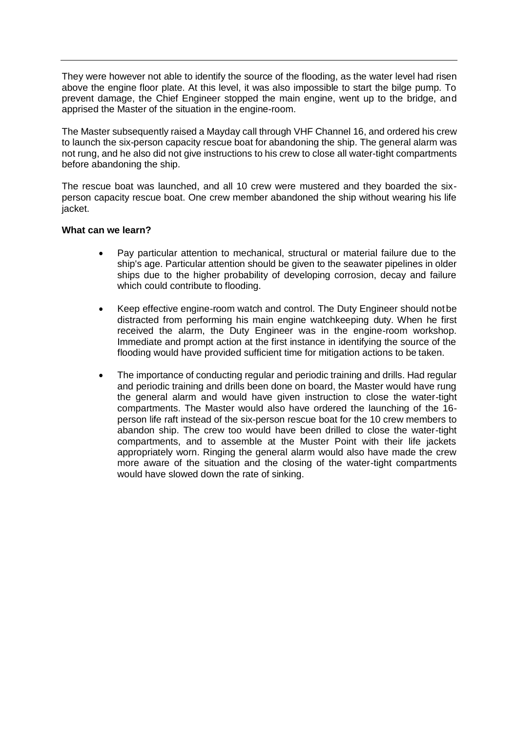They were however not able to identify the source of the flooding, as the water level had risen above the engine floor plate. At this level, it was also impossible to start the bilge pump. To prevent damage, the Chief Engineer stopped the main engine, went up to the bridge, and apprised the Master of the situation in the engine-room.

The Master subsequently raised a Mayday call through VHF Channel 16, and ordered his crew to launch the six-person capacity rescue boat for abandoning the ship. The general alarm was not rung, and he also did not give instructions to his crew to close all water-tight compartments before abandoning the ship.

The rescue boat was launched, and all 10 crew were mustered and they boarded the sixperson capacity rescue boat. One crew member abandoned the ship without wearing his life jacket.

### **What can we learn?**

- Pay particular attention to mechanical, structural or material failure due to the ship's age. Particular attention should be given to the seawater pipelines in older ships due to the higher probability of developing corrosion, decay and failure which could contribute to flooding.
- Keep effective engine-room watch and control. The Duty Engineer should not be distracted from performing his main engine watchkeeping duty. When he first received the alarm, the Duty Engineer was in the engine-room workshop. Immediate and prompt action at the first instance in identifying the source of the flooding would have provided sufficient time for mitigation actions to be taken.
- The importance of conducting regular and periodic training and drills. Had regular and periodic training and drills been done on board, the Master would have rung the general alarm and would have given instruction to close the water-tight compartments. The Master would also have ordered the launching of the 16 person life raft instead of the six-person rescue boat for the 10 crew members to abandon ship. The crew too would have been drilled to close the water-tight compartments, and to assemble at the Muster Point with their life jackets appropriately worn. Ringing the general alarm would also have made the crew more aware of the situation and the closing of the water-tight compartments would have slowed down the rate of sinking.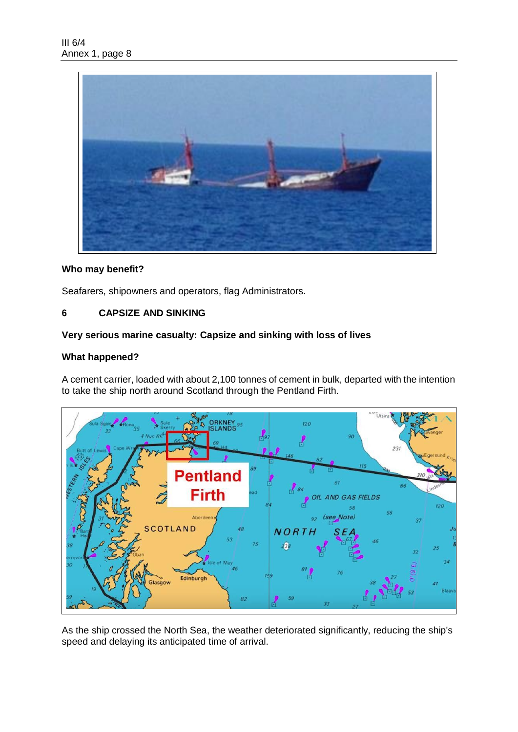

## **Who may benefit?**

Seafarers, shipowners and operators, flag Administrators.

### **6 CAPSIZE AND SINKING**

### **Very serious marine casualty: Capsize and sinking with loss of lives**

### **What happened?**

A cement carrier, loaded with about 2,100 tonnes of cement in bulk, departed with the intention to take the ship north around Scotland through the Pentland Firth.



As the ship crossed the North Sea, the weather deteriorated significantly, reducing the ship's speed and delaying its anticipated time of arrival.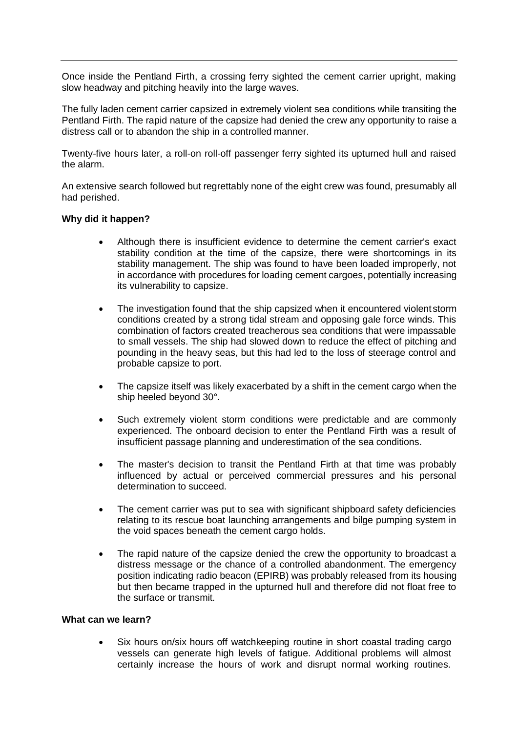Once inside the Pentland Firth, a crossing ferry sighted the cement carrier upright, making slow headway and pitching heavily into the large waves.

The fully laden cement carrier capsized in extremely violent sea conditions while transiting the Pentland Firth. The rapid nature of the capsize had denied the crew any opportunity to raise a distress call or to abandon the ship in a controlled manner.

Twenty-five hours later, a roll-on roll-off passenger ferry sighted its upturned hull and raised the alarm.

An extensive search followed but regrettably none of the eight crew was found, presumably all had perished.

#### **Why did it happen?**

- Although there is insufficient evidence to determine the cement carrier's exact stability condition at the time of the capsize, there were shortcomings in its stability management. The ship was found to have been loaded improperly, not in accordance with procedures for loading cement cargoes, potentially increasing its vulnerability to capsize.
- The investigation found that the ship capsized when it encountered violent storm conditions created by a strong tidal stream and opposing gale force winds. This combination of factors created treacherous sea conditions that were impassable to small vessels. The ship had slowed down to reduce the effect of pitching and pounding in the heavy seas, but this had led to the loss of steerage control and probable capsize to port.
- The capsize itself was likely exacerbated by a shift in the cement cargo when the ship heeled beyond 30°.
- Such extremely violent storm conditions were predictable and are commonly experienced. The onboard decision to enter the Pentland Firth was a result of insufficient passage planning and underestimation of the sea conditions.
- The master's decision to transit the Pentland Firth at that time was probably influenced by actual or perceived commercial pressures and his personal determination to succeed.
- The cement carrier was put to sea with significant shipboard safety deficiencies relating to its rescue boat launching arrangements and bilge pumping system in the void spaces beneath the cement cargo holds.
- The rapid nature of the capsize denied the crew the opportunity to broadcast a distress message or the chance of a controlled abandonment. The emergency position indicating radio beacon (EPIRB) was probably released from its housing but then became trapped in the upturned hull and therefore did not float free to the surface or transmit.

#### **What can we learn?**

 Six hours on/six hours off watchkeeping routine in short coastal trading cargo vessels can generate high levels of fatigue. Additional problems will almost certainly increase the hours of work and disrupt normal working routines.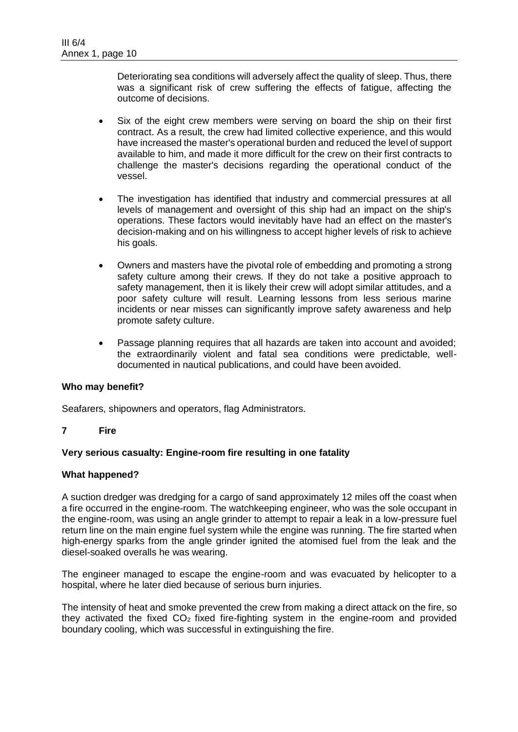Deteriorating sea conditions will adversely affect the quality of sleep. Thus, there was a significant risk of crew suffering the effects of fatigue, affecting the outcome of decisions.

- Six of the eight crew members were serving on board the ship on their first contract. As a result, the crew had limited collective experience, and this would have increased the master's operational burden and reduced the level of support available to him, and made it more difficult for the crew on their first contracts to challenge the master's decisions regarding the operational conduct of the vessel.
- The investigation has identified that industry and commercial pressures at all levels of management and oversight of this ship had an impact on the ship's operations. These factors would inevitably have had an effect on the master's decision-making and on his willingness to accept higher levels of risk to achieve his goals.
- Owners and masters have the pivotal role of embedding and promoting a strong safety culture among their crews. If they do not take a positive approach to safety management, then it is likely their crew will adopt similar attitudes, and a poor safety culture will result. Learning lessons from less serious marine incidents or near misses can significantly improve safety awareness and help promote safety culture.
- Passage planning requires that all hazards are taken into account and avoided; the extraordinarily violent and fatal sea conditions were predictable, welldocumented in nautical publications, and could have been avoided.

### **Who may benefit?**

Seafarers, shipowners and operators, flag Administrators.

**7 Fire**

### **Very serious casualty: Engine-room fire resulting in one fatality**

#### **What happened?**

A suction dredger was dredging for a cargo of sand approximately 12 miles off the coast when a fire occurred in the engine-room. The watchkeeping engineer, who was the sole occupant in the engine-room, was using an angle grinder to attempt to repair a leak in a low-pressure fuel return line on the main engine fuel system while the engine was running. The fire started when high-energy sparks from the angle grinder ignited the atomised fuel from the leak and the diesel-soaked overalls he was wearing.

The engineer managed to escape the engine-room and was evacuated by helicopter to a hospital, where he later died because of serious burn injuries.

The intensity of heat and smoke prevented the crew from making a direct attack on the fire, so they activated the fixed  $CO<sub>2</sub>$  fixed fire-fighting system in the engine-room and provided boundary cooling, which was successful in extinguishing the fire.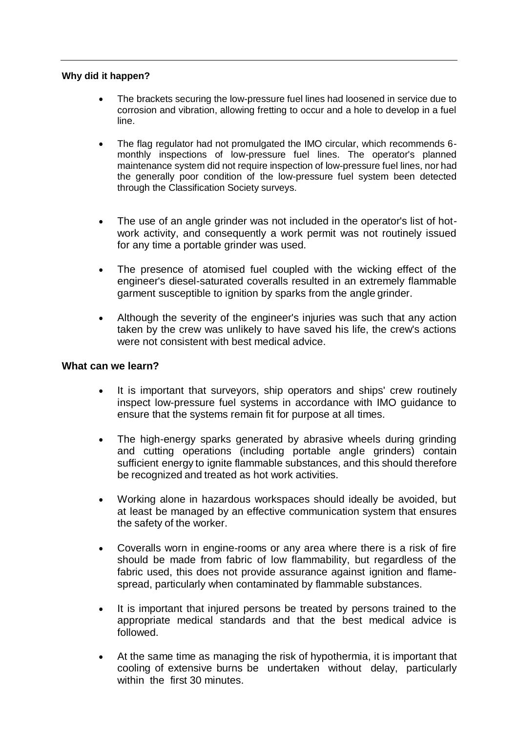### **Why did it happen?**

- The brackets securing the low-pressure fuel lines had loosened in service due to corrosion and vibration, allowing fretting to occur and a hole to develop in a fuel line.
- The flag regulator had not promulgated the IMO circular, which recommends 6 monthly inspections of low-pressure fuel lines. The operator's planned maintenance system did not require inspection of low-pressure fuel lines, nor had the generally poor condition of the low-pressure fuel system been detected through the Classification Society surveys.
- The use of an angle grinder was not included in the operator's list of hotwork activity, and consequently a work permit was not routinely issued for any time a portable grinder was used.
- The presence of atomised fuel coupled with the wicking effect of the engineer's diesel-saturated coveralls resulted in an extremely flammable garment susceptible to ignition by sparks from the angle grinder.
- Although the severity of the engineer's injuries was such that any action taken by the crew was unlikely to have saved his life, the crew's actions were not consistent with best medical advice.

## **What can we learn?**

- It is important that surveyors, ship operators and ships' crew routinely inspect low-pressure fuel systems in accordance with IMO guidance to ensure that the systems remain fit for purpose at all times.
- The high-energy sparks generated by abrasive wheels during grinding and cutting operations (including portable angle grinders) contain sufficient energy to ignite flammable substances, and this should therefore be recognized and treated as hot work activities.
- Working alone in hazardous workspaces should ideally be avoided, but at least be managed by an effective communication system that ensures the safety of the worker.
- Coveralls worn in engine-rooms or any area where there is a risk of fire should be made from fabric of low flammability, but regardless of the fabric used, this does not provide assurance against ignition and flamespread, particularly when contaminated by flammable substances.
- It is important that injured persons be treated by persons trained to the appropriate medical standards and that the best medical advice is followed.
- At the same time as managing the risk of hypothermia, it is important that cooling of extensive burns be undertaken without delay, particularly within the first 30 minutes.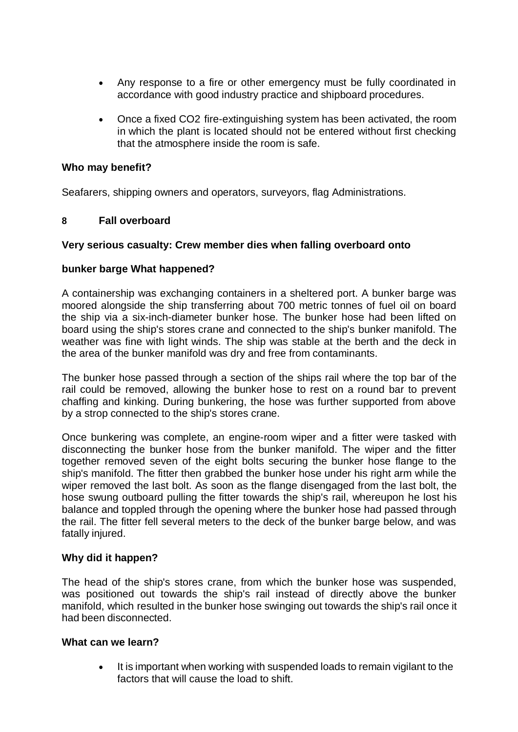- Any response to a fire or other emergency must be fully coordinated in accordance with good industry practice and shipboard procedures.
- Once a fixed CO2 fire-extinguishing system has been activated, the room in which the plant is located should not be entered without first checking that the atmosphere inside the room is safe.

# **Who may benefit?**

Seafarers, shipping owners and operators, surveyors, flag Administrations.

# **8 Fall overboard**

# **Very serious casualty: Crew member dies when falling overboard onto**

# **bunker barge What happened?**

A containership was exchanging containers in a sheltered port. A bunker barge was moored alongside the ship transferring about 700 metric tonnes of fuel oil on board the ship via a six-inch-diameter bunker hose. The bunker hose had been lifted on board using the ship's stores crane and connected to the ship's bunker manifold. The weather was fine with light winds. The ship was stable at the berth and the deck in the area of the bunker manifold was dry and free from contaminants.

The bunker hose passed through a section of the ships rail where the top bar of the rail could be removed, allowing the bunker hose to rest on a round bar to prevent chaffing and kinking. During bunkering, the hose was further supported from above by a strop connected to the ship's stores crane.

Once bunkering was complete, an engine-room wiper and a fitter were tasked with disconnecting the bunker hose from the bunker manifold. The wiper and the fitter together removed seven of the eight bolts securing the bunker hose flange to the ship's manifold. The fitter then grabbed the bunker hose under his right arm while the wiper removed the last bolt. As soon as the flange disengaged from the last bolt, the hose swung outboard pulling the fitter towards the ship's rail, whereupon he lost his balance and toppled through the opening where the bunker hose had passed through the rail. The fitter fell several meters to the deck of the bunker barge below, and was fatally injured.

# **Why did it happen?**

The head of the ship's stores crane, from which the bunker hose was suspended, was positioned out towards the ship's rail instead of directly above the bunker manifold, which resulted in the bunker hose swinging out towards the ship's rail once it had been disconnected.

# **What can we learn?**

 It is important when working with suspended loads to remain vigilant to the factors that will cause the load to shift.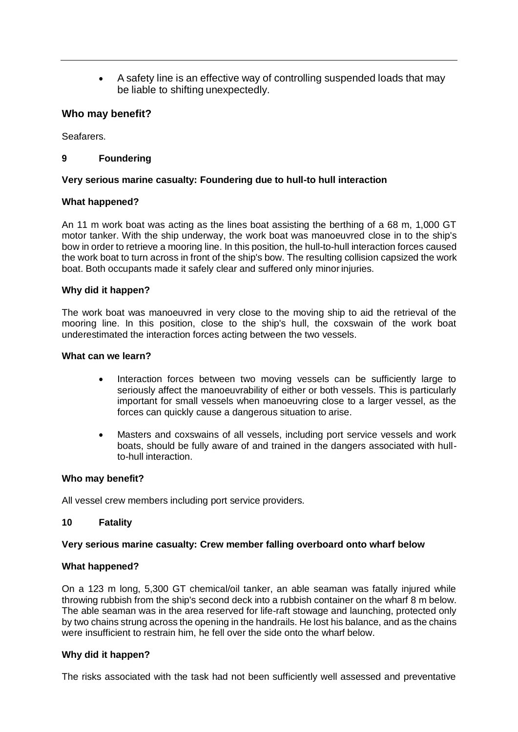A safety line is an effective way of controlling suspended loads that may be liable to shifting unexpectedly.

### **Who may benefit?**

Seafarers.

## **9 Foundering**

### **Very serious marine casualty: Foundering due to hull-to hull interaction**

### **What happened?**

An 11 m work boat was acting as the lines boat assisting the berthing of a 68 m, 1,000 GT motor tanker. With the ship underway, the work boat was manoeuvred close in to the ship's bow in order to retrieve a mooring line. In this position, the hull-to-hull interaction forces caused the work boat to turn across in front of the ship's bow. The resulting collision capsized the work boat. Both occupants made it safely clear and suffered only minor injuries.

### **Why did it happen?**

The work boat was manoeuvred in very close to the moving ship to aid the retrieval of the mooring line. In this position, close to the ship's hull, the coxswain of the work boat underestimated the interaction forces acting between the two vessels.

#### **What can we learn?**

- Interaction forces between two moving vessels can be sufficiently large to seriously affect the manoeuvrability of either or both vessels. This is particularly important for small vessels when manoeuvring close to a larger vessel, as the forces can quickly cause a dangerous situation to arise.
- Masters and coxswains of all vessels, including port service vessels and work boats, should be fully aware of and trained in the dangers associated with hullto-hull interaction.

### **Who may benefit?**

All vessel crew members including port service providers.

### **10 Fatality**

### **Very serious marine casualty: Crew member falling overboard onto wharf below**

### **What happened?**

On a 123 m long, 5,300 GT chemical/oil tanker, an able seaman was fatally injured while throwing rubbish from the ship's second deck into a rubbish container on the wharf 8 m below. The able seaman was in the area reserved for life-raft stowage and launching, protected only by two chains strung across the opening in the handrails. He lost his balance, and as the chains were insufficient to restrain him, he fell over the side onto the wharf below.

### **Why did it happen?**

The risks associated with the task had not been sufficiently well assessed and preventative